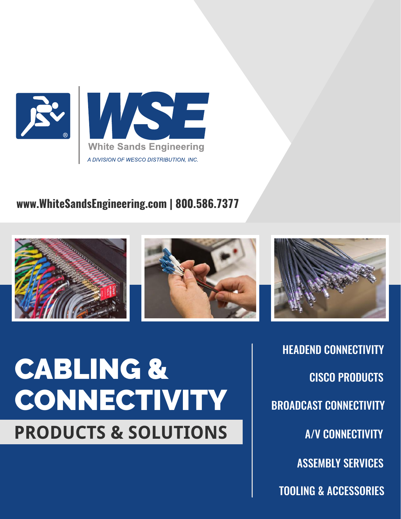

#### **www.WhiteSandsEngineering.com | 800.586.7377**





# CABLING & **CONNECTIVITY PRODUCTS & SOLUTIONS**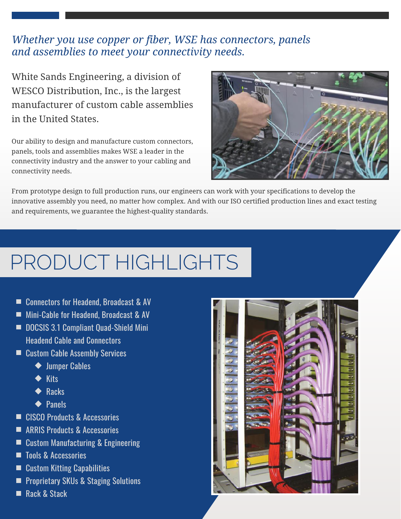#### *Whether you use copper or fiber, WSE has connectors, panels and assemblies to meet your connectivity needs.*

White Sands Engineering, a division of WESCO Distribution, Inc., is the largest manufacturer of custom cable assemblies in the United States.

Our ability to design and manufacture custom connectors, panels, tools and assemblies makes WSE a leader in the connectivity industry and the answer to your cabling and connectivity needs.



From prototype design to full production runs, our engineers can work with your specifications to develop the innovative assembly you need, no matter how complex. And with our ISO certified production lines and exact testing and requirements, we guarantee the highest-quality standards.

### PRODUCT HIGHLIGHTS

- Connectors for Headend, Broadcast & AV
- **Mini-Cable for Headend, Broadcast & AV**
- DOCSIS 3.1 Compliant Quad-Shield Mini Headend Cable and Connectors
- Custom Cable Assembly Services
	- ◆ Jumper Cables
	- $\blacklozenge$  Kits
	- $\blacklozenge$  Racks
	- ◆ Panels
- CISCO Products & Accessories
- ARRIS Products & Accessories
- Custom Manufacturing & Engineering
- Tools & Accessories
- Custom Kitting Capabilities
- **Peroprietary SKUs & Staging Solutions**
- Rack & Stack

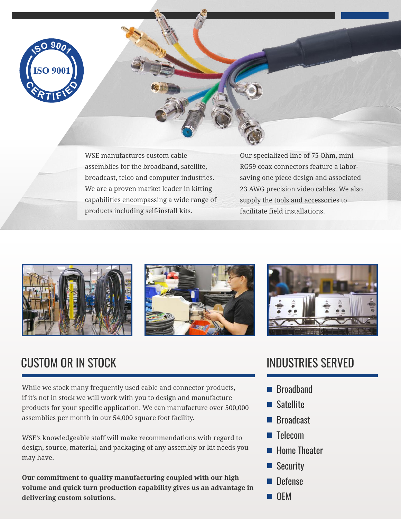

WSE manufactures custom cable assemblies for the broadband, satellite, broadcast, telco and computer industries. We are a proven market leader in kitting capabilities encompassing a wide range of products including self-install kits.

Our specialized line of 75 Ohm, mini RG59 coax connectors feature a laborsaving one piece design and associated 23 AWG precision video cables. We also supply the tools and accessories to facilitate field installations.







### **CUSTOM OR IN STOCK INDUSTRIES SERVED**

While we stock many frequently used cable and connector products, if it's not in stock we will work with you to design and manufacture products for your specific application. We can manufacture over 500,000 assemblies per month in our 54,000 square foot facility.

WSE's knowledgeable staff will make recommendations with regard to design, source, material, and packaging of any assembly or kit needs you may have.

**Our commitment to quality manufacturing coupled with our high volume and quick turn production capability gives us an advantage in delivering custom solutions.**

- Broadband
- **Satellite**
- Broadcast
- **Telecom**
- **Home Theater**
- Security
- **Defense**
- **OEM**